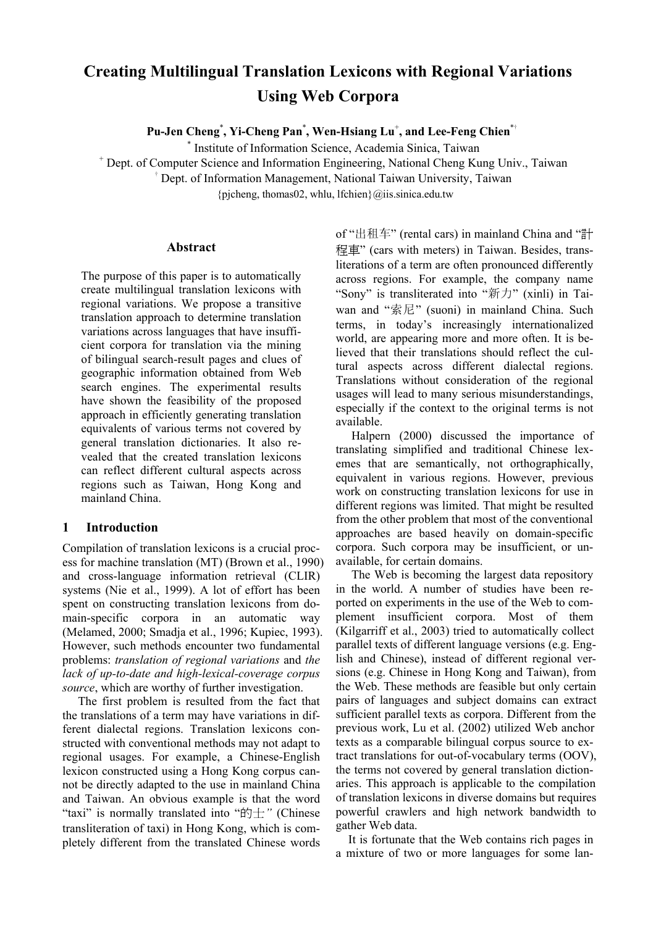# **Creating Multilingual Translation Lexicons with Regional Variations Using Web Corpora**

**Pu-Jen Cheng**\* **, Yi-Cheng Pan**\* **, Wen-Hsiang Lu**<sup>+</sup> **, and Lee-Feng Chien**\*

\* Institute of Information Science, Academia Sinica, Taiwan

+ Dept. of Computer Science and Information Engineering, National Cheng Kung Univ., Taiwan

Dept. of Information Management, National Taiwan University, Taiwan

 ${p}$ jcheng, thomas02, whlu, lfchien ${Q}$ iis.sinica.edu.tw

#### **Abstract**

The purpose of this paper is to automatically create multilingual translation lexicons with regional variations. We propose a transitive translation approach to determine translation variations across languages that have insufficient corpora for translation via the mining of bilingual search-result pages and clues of geographic information obtained from Web search engines. The experimental results have shown the feasibility of the proposed approach in efficiently generating translation equivalents of various terms not covered by general translation dictionaries. It also revealed that the created translation lexicons can reflect different cultural aspects across regions such as Taiwan, Hong Kong and mainland China.

## **1 Introduction**

Compilation of translation lexicons is a crucial process for machine translation (MT) (Brown et al., 1990) and cross-language information retrieval (CLIR) systems (Nie et al., 1999). A lot of effort has been spent on constructing translation lexicons from domain-specific corpora in an automatic way (Melamed, 2000; Smadja et al., 1996; Kupiec, 1993). However, such methods encounter two fundamental problems: *translation of regional variations* and *the lack of up-to-date and high-lexical-coverage corpus source*, which are worthy of further investigation.

The first problem is resulted from the fact that the translations of a term may have variations in different dialectal regions. Translation lexicons constructed with conventional methods may not adapt to regional usages. For example, a Chinese-English lexicon constructed using a Hong Kong corpus cannot be directly adapted to the use in mainland China and Taiwan. An obvious example is that the word "taxi" is normally translated into "的士*"* (Chinese transliteration of taxi) in Hong Kong, which is completely different from the translated Chinese words of "出租车" (rental cars) in mainland China and "計 程車" (cars with meters) in Taiwan. Besides, transliterations of a term are often pronounced differently across regions. For example, the company name "Sony" is transliterated into "新力" (xinli) in Taiwan and "索尼" (suoni) in mainland China. Such terms, in today's increasingly internationalized world, are appearing more and more often. It is believed that their translations should reflect the cultural aspects across different dialectal regions. Translations without consideration of the regional usages will lead to many serious misunderstandings, especially if the context to the original terms is not available.

Halpern (2000) discussed the importance of translating simplified and traditional Chinese lexemes that are semantically, not orthographically, equivalent in various regions. However, previous work on constructing translation lexicons for use in different regions was limited. That might be resulted from the other problem that most of the conventional approaches are based heavily on domain-specific corpora. Such corpora may be insufficient, or unavailable, for certain domains.

The Web is becoming the largest data repository in the world. A number of studies have been reported on experiments in the use of the Web to complement insufficient corpora. Most of them (Kilgarriff et al., 2003) tried to automatically collect parallel texts of different language versions (e.g. English and Chinese), instead of different regional versions (e.g. Chinese in Hong Kong and Taiwan), from the Web. These methods are feasible but only certain pairs of languages and subject domains can extract sufficient parallel texts as corpora. Different from the previous work, Lu et al. (2002) utilized Web anchor texts as a comparable bilingual corpus source to extract translations for out-of-vocabulary terms (OOV), the terms not covered by general translation dictionaries. This approach is applicable to the compilation of translation lexicons in diverse domains but requires powerful crawlers and high network bandwidth to gather Web data.

It is fortunate that the Web contains rich pages in a mixture of two or more languages for some lan-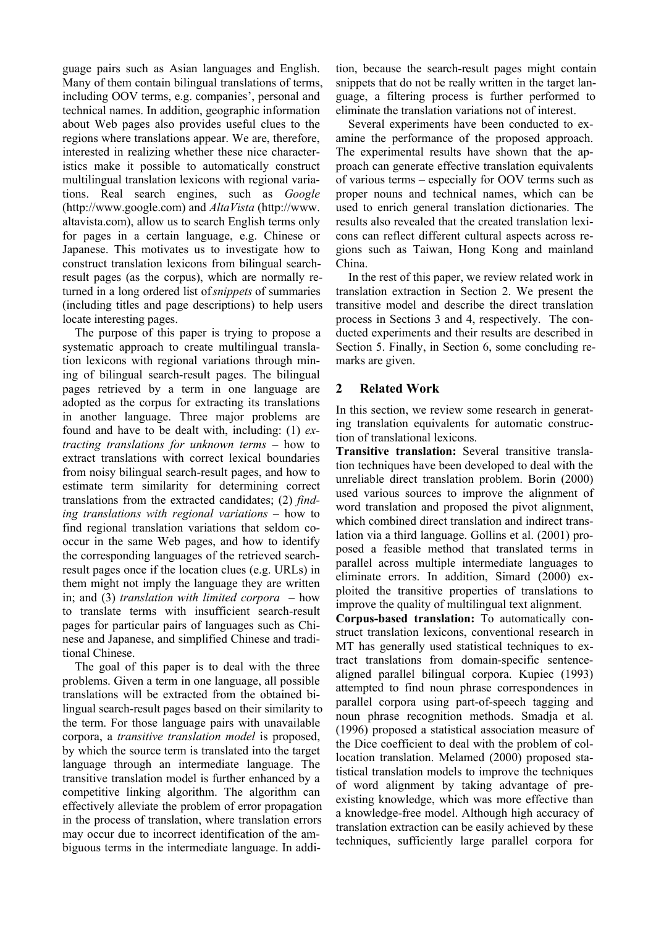guage pairs such as Asian languages and English. Many of them contain bilingual translations of terms, including OOV terms, e.g. companies', personal and technical names. In addition, geographic information about Web pages also provides useful clues to the regions where translations appear. We are, therefore, interested in realizing whether these nice characteristics make it possible to automatically construct multilingual translation lexicons with regional variations. Real search engines, such as *Google* (http://www.google.com) and *AltaVista* (http://www. altavista.com), allow us to search English terms only for pages in a certain language, e.g. Chinese or Japanese. This motivates us to investigate how to construct translation lexicons from bilingual searchresult pages (as the corpus), which are normally returned in a long ordered list of *snippets* of summaries (including titles and page descriptions) to help users locate interesting pages.

The purpose of this paper is trying to propose a systematic approach to create multilingual translation lexicons with regional variations through mining of bilingual search-result pages. The bilingual pages retrieved by a term in one language are adopted as the corpus for extracting its translations in another language. Three major problems are found and have to be dealt with, including: (1) *extracting translations for unknown terms* – how to extract translations with correct lexical boundaries from noisy bilingual search-result pages, and how to estimate term similarity for determining correct translations from the extracted candidates; (2) *finding translations with regional variations –* how to find regional translation variations that seldom cooccur in the same Web pages, and how to identify the corresponding languages of the retrieved searchresult pages once if the location clues (e.g. URLs) in them might not imply the language they are written in; and (3) *translation with limited corpora –* how to translate terms with insufficient search-result pages for particular pairs of languages such as Chinese and Japanese, and simplified Chinese and traditional Chinese.

The goal of this paper is to deal with the three problems. Given a term in one language, all possible translations will be extracted from the obtained bilingual search-result pages based on their similarity to the term. For those language pairs with unavailable corpora, a *transitive translation model* is proposed, by which the source term is translated into the target language through an intermediate language. The transitive translation model is further enhanced by a competitive linking algorithm. The algorithm can effectively alleviate the problem of error propagation in the process of translation, where translation errors may occur due to incorrect identification of the ambiguous terms in the intermediate language. In addi-

tion, because the search-result pages might contain snippets that do not be really written in the target language, a filtering process is further performed to eliminate the translation variations not of interest.

Several experiments have been conducted to examine the performance of the proposed approach. The experimental results have shown that the approach can generate effective translation equivalents of various terms – especially for OOV terms such as proper nouns and technical names, which can be used to enrich general translation dictionaries. The results also revealed that the created translation lexicons can reflect different cultural aspects across regions such as Taiwan, Hong Kong and mainland China.

In the rest of this paper, we review related work in translation extraction in Section 2. We present the transitive model and describe the direct translation process in Sections 3 and 4, respectively. The conducted experiments and their results are described in Section 5. Finally, in Section 6, some concluding remarks are given.

## **2 Related Work**

In this section, we review some research in generating translation equivalents for automatic construction of translational lexicons.

**Transitive translation:** Several transitive translation techniques have been developed to deal with the unreliable direct translation problem. Borin (2000) used various sources to improve the alignment of word translation and proposed the pivot alignment, which combined direct translation and indirect translation via a third language. Gollins et al. (2001) proposed a feasible method that translated terms in parallel across multiple intermediate languages to eliminate errors. In addition, Simard (2000) exploited the transitive properties of translations to improve the quality of multilingual text alignment.

**Corpus-based translation:** To automatically construct translation lexicons, conventional research in MT has generally used statistical techniques to extract translations from domain-specific sentencealigned parallel bilingual corpora. Kupiec (1993) attempted to find noun phrase correspondences in parallel corpora using part-of-speech tagging and noun phrase recognition methods. Smadja et al. (1996) proposed a statistical association measure of the Dice coefficient to deal with the problem of collocation translation. Melamed (2000) proposed statistical translation models to improve the techniques of word alignment by taking advantage of preexisting knowledge, which was more effective than a knowledge-free model. Although high accuracy of translation extraction can be easily achieved by these techniques, sufficiently large parallel corpora for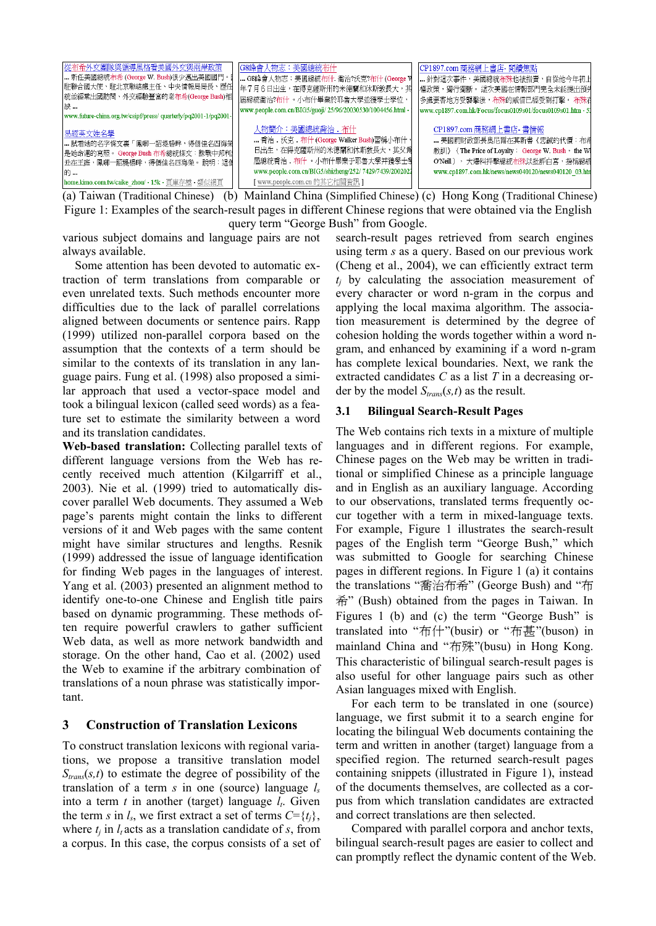| 從布希外交團隊與領導風格看美國外交與兩岸政策<br>  新任美國總統布希 (George W. Bush)很少邁出美國國門。<br>駐聯合國大使、駐北京聯絡處主任、中央情報局局長、歷任<br> 統並經常出國訪問、外交經驗豐富的老布希(George Bush)相<br> 缺…<br>www.future-china.org.tw/csipf/press/ quarterly/pq2001-1/pq2001- | G8峰會人物志:美國總統布什 <br>G8峰會人物志:美國總統布什. 喬治?沃克?布什 (George V<br> 年7月6日出生,在得克薩斯州的米德蘭和休斯敦長大,其 <br> 屈總統喬治?布什 。小布什畢業於耶魯大學並獲學士學位,<br>www.people.com.cn/BIG5/guoji/ 25/96/20030530/1004456.html -                       | CP1897.com 商務網上書店- 閱讀焦點 <br>針對這次事件,美國總統布殊也被指責,自從他今年初上<br> 權政策,獨行獨斷。 這次美國在情報部門完全未能提出預先<br> 多處要害地方受襲擊後,布殊的威信已經受到打擊。 布殊在<br>www.cp1897.com.hk/Focus/focus0109s01/focus0109s01.htm - 53                  |
|--------------------------------------------------------------------------------------------------------------------------------------------------------------------------------------------------------------|------------------------------------------------------------------------------------------------------------------------------------------------------------------------------------------------------------|------------------------------------------------------------------------------------------------------------------------------------------------------------------------------------------------------|
| 易經英文姓名學 <br>┃ 試看她的名字條文裏「鳳啣一詔堤楊畔,得個佳名四海榮<br>是她命運的寫照。 George Bush 布希總統條文:誅戰中邦利<br>┃丑在王庭,鳳嘲一詔堤楊畔,得個佳名四海榮。 說明:這個<br>16勺…<br>home.kimo.com.tw/caike zhou/ - 15k - 頁庫存檔 - 類似網頁                                     | 人物簡介:美國總統喬治.布什<br>喬治. 沃克. 布什 (George Walker Bush)習稱小布什,<br>日出生,在得克薩斯州的米德蘭和休斯數長大,其父爲<br>屈總統喬治 布什 ,小布什畢業于耶魯大學并獲學士學<br>www.people.com.cn/BIG5/shizheng/252/ 7429/7439/2002021<br>[www.people.com.cn 的其它相關資訊 ] | - CP1897.com 商務網上書店- 書情報<br>…… 美國前財政部長奧尼爾在其新書《忠誠的代價:布希<br>教訓》 (The Price of Loyalty: George W. Bush, the WI<br>O'Neill), 大爆料抨擊線統布殊以批評白宮, 指稱總統<br>www.cp1897.com.hk/news/news040120/news040120_03.htm |

(a) Taiwan (Traditional Chinese) (b) Mainland China (Simplified Chinese) (c) Hong Kong (Traditional Chinese) Figure 1: Examples of the search-result pages in different Chinese regions that were obtained via the English query term "George Bush" from Google.

various subject domains and language pairs are not always available.

Some attention has been devoted to automatic extraction of term translations from comparable or even unrelated texts. Such methods encounter more difficulties due to the lack of parallel correlations aligned between documents or sentence pairs. Rapp (1999) utilized non-parallel corpora based on the assumption that the contexts of a term should be similar to the contexts of its translation in any language pairs. Fung et al. (1998) also proposed a similar approach that used a vector-space model and took a bilingual lexicon (called seed words) as a feature set to estimate the similarity between a word and its translation candidates.

**Web-based translation:** Collecting parallel texts of different language versions from the Web has recently received much attention (Kilgarriff et al., 2003). Nie et al. (1999) tried to automatically discover parallel Web documents. They assumed a Web page's parents might contain the links to different versions of it and Web pages with the same content might have similar structures and lengths. Resnik (1999) addressed the issue of language identification for finding Web pages in the languages of interest. Yang et al. (2003) presented an alignment method to identify one-to-one Chinese and English title pairs based on dynamic programming. These methods often require powerful crawlers to gather sufficient Web data, as well as more network bandwidth and storage. On the other hand, Cao et al. (2002) used the Web to examine if the arbitrary combination of translations of a noun phrase was statistically important.

### **3 Construction of Translation Lexicons**

To construct translation lexicons with regional variations, we propose a transitive translation model  $S_{trans}(s,t)$  to estimate the degree of possibility of the translation of a term *s* in one (source) language *l<sup>s</sup>* into a term  $t$  in another (target) language  $l_t$ . Given the term *s* in  $l_s$ , we first extract a set of terms  $C = \{t_j\}$ , where  $t_i$  in  $l_i$  acts as a translation candidate of *s*, from a corpus. In this case, the corpus consists of a set of

search-result pages retrieved from search engines using term *s* as a query. Based on our previous work (Cheng et al., 2004), we can efficiently extract term  $t_i$  by calculating the association measurement of every character or word n-gram in the corpus and applying the local maxima algorithm. The association measurement is determined by the degree of cohesion holding the words together within a word ngram, and enhanced by examining if a word n-gram has complete lexical boundaries. Next, we rank the extracted candidates *C* as a list *T* in a decreasing order by the model *Strans*(*s,t*) as the result.

#### **3.1 Bilingual Search-Result Pages**

The Web contains rich texts in a mixture of multiple languages and in different regions. For example, Chinese pages on the Web may be written in traditional or simplified Chinese as a principle language and in English as an auxiliary language. According to our observations, translated terms frequently occur together with a term in mixed-language texts. For example, Figure 1 illustrates the search-result pages of the English term "George Bush," which was submitted to Google for searching Chinese pages in different regions. In Figure 1 (a) it contains the translations "喬治布希" (George Bush) and "布 希" (Bush) obtained from the pages in Taiwan. In Figures 1 (b) and (c) the term "George Bush" is translated into "布什"(busir) or "布甚"(buson) in mainland China and "布殊"(busu) in Hong Kong. This characteristic of bilingual search-result pages is also useful for other language pairs such as other Asian languages mixed with English.

For each term to be translated in one (source) language, we first submit it to a search engine for locating the bilingual Web documents containing the term and written in another (target) language from a specified region. The returned search-result pages containing snippets (illustrated in Figure 1), instead of the documents themselves, are collected as a corpus from which translation candidates are extracted and correct translations are then selected.

Compared with parallel corpora and anchor texts, bilingual search-result pages are easier to collect and can promptly reflect the dynamic content of the Web.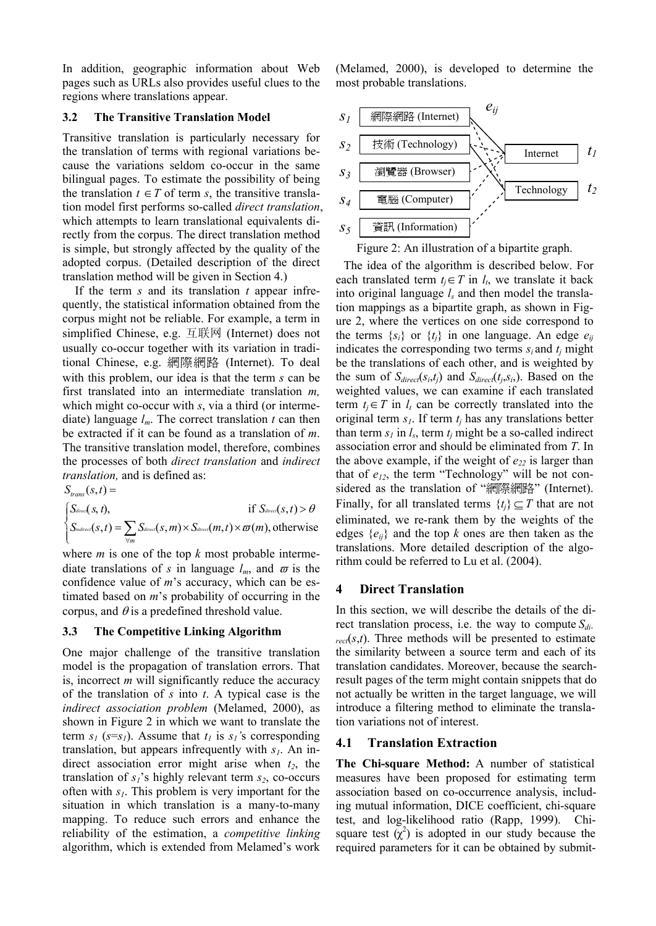In addition, geographic information about Web pages such as URLs also provides useful clues to the regions where translations appear.

#### **3.2 The Transitive Translation Model**

Transitive translation is particularly necessary for the translation of terms with regional variations because the variations seldom co-occur in the same bilingual pages. To estimate the possibility of being the translation  $t \in T$  of term *s*, the transitive translation model first performs so-called *direct translation*, which attempts to learn translational equivalents directly from the corpus. The direct translation method is simple, but strongly affected by the quality of the adopted corpus. (Detailed description of the direct translation method will be given in Section 4.)

If the term *s* and its translation *t* appear infrequently, the statistical information obtained from the corpus might not be reliable. For example, a term in simplified Chinese, e.g. 互联网 (Internet) does not usually co-occur together with its variation in traditional Chinese, e.g. 網際網路 (Internet). To deal with this problem, our idea is that the term *s* can be first translated into an intermediate translation *m,*  which might co-occur with *s*, via a third (or intermediate) language *lm*. The correct translation *t* can then be extracted if it can be found as a translation of *m*. The transitive translation model, therefore, combines the processes of both *direct translation* and *indirect translation,* and is defined as:

 $\overline{\mathcal{L}}$  $\overline{ }$  $\left\{ \textit{S}_{\textit{indirect}}(s,t)=\sum_{\forall m} \textit{S}_{\textit{direct}}(s,m) \!\times\! \textit{S}_{\textit{direct}}(m,t) \!\times\! \varpi(m), \text{otherwise} \right\}$  $\int S_{\text{direct}}(s, t)$ , if  $S_{\text{direct}}$  $S_{\text{direct}}(s, t)$ , if  $S_{\text{direct}}(s, t) > \theta$  $S_{trans}(s,t) =$ *m*  $\varpi$ 

where *m* is one of the top *k* most probable intermediate translations of *s* in language  $l_m$ , and  $\sigma$  is the confidence value of *m*'s accuracy, which can be estimated based on *m*'s probability of occurring in the corpus, and  $\theta$  is a predefined threshold value.

#### **3.3 The Competitive Linking Algorithm**

One major challenge of the transitive translation model is the propagation of translation errors. That is, incorrect *m* will significantly reduce the accuracy of the translation of *s* into *t*. A typical case is the *indirect association problem* (Melamed, 2000), as shown in Figure 2 in which we want to translate the term  $s_1$  ( $s=s_1$ ). Assume that  $t_1$  is  $s_1$ 's corresponding translation, but appears infrequently with *s1*. An indirect association error might arise when *t2*, the translation of *s1*'s highly relevant term *s2*, co-occurs often with *s1*. This problem is very important for the situation in which translation is a many-to-many mapping. To reduce such errors and enhance the reliability of the estimation, a *competitive linking* algorithm, which is extended from Melamed's work

(Melamed, 2000), is developed to determine the most probable translations.



Figure 2: An illustration of a bipartite graph.

The idea of the algorithm is described below. For each translated term  $t_j \in T$  in  $l_t$ , we translate it back into original language  $l_s$  and then model the translation mappings as a bipartite graph, as shown in Figure 2, where the vertices on one side correspond to the terms  $\{s_i\}$  or  $\{t_i\}$  in one language. An edge  $e_{ii}$ indicates the corresponding two terms  $s_i$  and  $t_j$  might be the translations of each other, and is weighted by the sum of  $S_{\text{direct}}(s_i, t_j)$  and  $S_{\text{direct}}(t_j, s_i)$ . Based on the weighted values, we can examine if each translated term  $t_i \in T$  in  $l_i$  can be correctly translated into the original term  $s<sub>l</sub>$ . If term  $t<sub>i</sub>$  has any translations better than term  $s_l$  in  $l_s$ , term  $t_j$  might be a so-called indirect association error and should be eliminated from *T*. In the above example, if the weight of  $e_{22}$  is larger than that of  $e_{12}$ , the term "Technology" will be not considered as the translation of "網際網路" (Internet). Finally, for all translated terms  $\{t_i\} \subseteq T$  that are not eliminated, we re-rank them by the weights of the edges {*eij*} and the top *k* ones are then taken as the translations. More detailed description of the algorithm could be referred to Lu et al. (2004).

#### **4 Direct Translation**

In this section, we will describe the details of the direct translation process, i.e. the way to compute *Sdi* $r_{rect}(s,t)$ . Three methods will be presented to estimate the similarity between a source term and each of its translation candidates. Moreover, because the searchresult pages of the term might contain snippets that do not actually be written in the target language, we will introduce a filtering method to eliminate the translation variations not of interest.

#### **4.1 Translation Extraction**

**The Chi-square Method:** A number of statistical measures have been proposed for estimating term association based on co-occurrence analysis, including mutual information, DICE coefficient, chi-square test, and log-likelihood ratio (Rapp, 1999). Chisquare test  $(\chi^2)$  is adopted in our study because the required parameters for it can be obtained by submit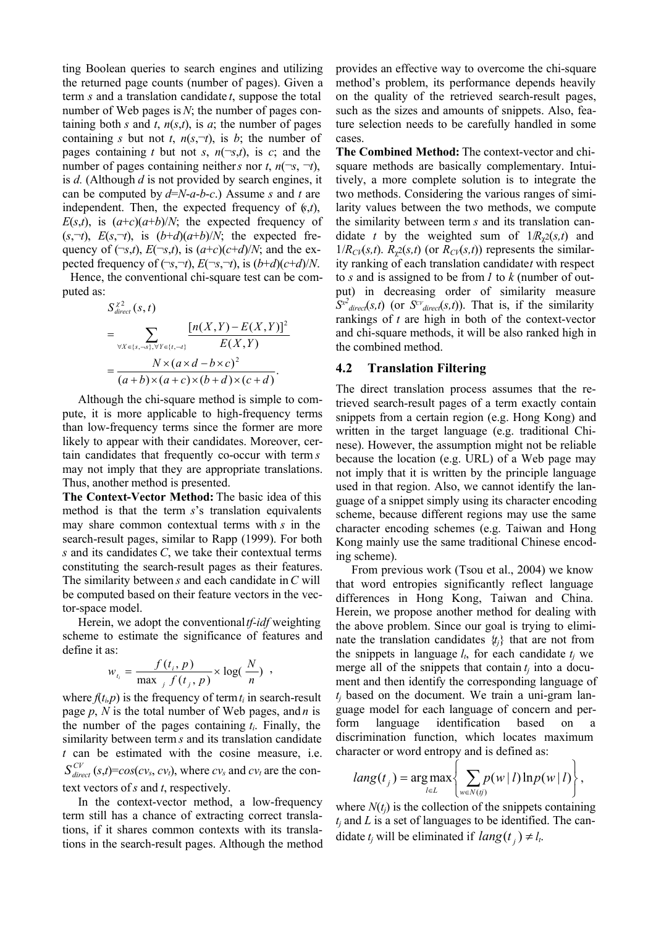ting Boolean queries to search engines and utilizing the returned page counts (number of pages). Given a term *s* and a translation candidate *t*, suppose the total number of Web pages is *N*; the number of pages containing both *s* and *t*,  $n(s,t)$ , is *a*; the number of pages containing *s* but not *t*,  $n(s, \neg t)$ , is *b*; the number of pages containing *t* but not *s*,  $n(\neg s,t)$ , is *c*; and the number of pages containing neither *s* nor *t*,  $n(\neg s, \neg t)$ , is *d.* (Although *d* is not provided by search engines, it can be computed by *d*=*N*-*a*-*b*-*c*.) Assume *s* and *t* are independent. Then, the expected frequency of (*s*,*t*),  $E(s,t)$ , is  $(a+c)(a+b)/N$ ; the expected frequency of  $(E, \neg t)$ ,  $E(s, \neg t)$ , is  $(b+d)(a+b)/N$ ; the expected frequency of  $(\neg s,t)$ ,  $E(\neg s,t)$ , is  $(a+c)(c+d)/N$ ; and the expected frequency of  $(\neg s, \neg t)$ ,  $E(\neg s, \neg t)$ , is  $(b+d)(c+d)/N$ .

Hence, the conventional chi-square test can be computed as:

$$
S_{\text{direct}}^{\chi^2}(s,t)
$$
\n
$$
= \sum_{\forall X \in \{s,\neg s\}, \forall Y \in \{t,\neg t\}} \frac{\left[n(X,Y) - E(X,Y)\right]^2}{E(X,Y)}
$$
\n
$$
= \frac{N \times (a \times d - b \times c)^2}{(a+b) \times (a+c) \times (b+d) \times (c+d)}.
$$

Although the chi-square method is simple to compute, it is more applicable to high-frequency terms than low-frequency terms since the former are more likely to appear with their candidates. Moreover, certain candidates that frequently co-occur with term *s* may not imply that they are appropriate translations. Thus, another method is presented.

**The Context-Vector Method:** The basic idea of this method is that the term *s*'s translation equivalents may share common contextual terms with *s* in the search-result pages, similar to Rapp (1999). For both *s* and its candidates *C*, we take their contextual terms constituting the search-result pages as their features. The similarity between *s* and each candidate in *C* will be computed based on their feature vectors in the vector-space model.

Herein, we adopt the conventional *tf-idf* weighting scheme to estimate the significance of features and define it as:

$$
w_{t_i} = \frac{f(t_i, p)}{\max_j f(t_j, p)} \times \log(\frac{N}{n}) ,
$$

where  $f(t_i, p)$  is the frequency of term  $t_i$  in search-result page *p*, *N* is the total number of Web pages, and *n* is the number of the pages containing  $t_i$ . Finally, the similarity between term *s* and its translation candidate *t* can be estimated with the cosine measure, i.e.  $S_{\text{direct}}^{CV}(s,t) = \cos(cv_s, cv_t)$ , where  $cv_s$  and  $cv_t$  are the context vectors of *s* and *t*, respectively.

In the context-vector method, a low-frequency term still has a chance of extracting correct translations, if it shares common contexts with its translations in the search-result pages. Although the method

provides an effective way to overcome the chi-square method's problem, its performance depends heavily on the quality of the retrieved search-result pages, such as the sizes and amounts of snippets. Also, feature selection needs to be carefully handled in some cases.

**The Combined Method:** The context-vector and chisquare methods are basically complementary. Intuitively, a more complete solution is to integrate the two methods. Considering the various ranges of similarity values between the two methods, we compute the similarity between term *s* and its translation candidate *t* by the weighted sum of  $1/R<sub>x</sub>2(s,t)$  and  $1/R_{CV}(s,t)$ .  $R_{\gamma}2(s,t)$  (or  $R_{CV}(s,t)$ ) represents the similarity ranking of each translation candidate*t* with respect to *s* and is assigned to be from *1* to *k* (number of output) in decreasing order of similarity measure  $S^{\alpha^2}$  *direct*(*s,t*) (or  $S^{\alpha}$  *direct*(*s,t*)). That is, if the similarity rankings of *t* are high in both of the context-vector and chi-square methods, it will be also ranked high in the combined method.

#### **4.2 Translation Filtering**

The direct translation process assumes that the retrieved search-result pages of a term exactly contain snippets from a certain region (e.g. Hong Kong) and written in the target language (e.g. traditional Chinese). However, the assumption might not be reliable because the location (e.g. URL) of a Web page may not imply that it is written by the principle language used in that region. Also, we cannot identify the language of a snippet simply using its character encoding scheme, because different regions may use the same character encoding schemes (e.g. Taiwan and Hong Kong mainly use the same traditional Chinese encoding scheme).

From previous work (Tsou et al., 2004) we know that word entropies significantly reflect language differences in Hong Kong, Taiwan and China. Herein, we propose another method for dealing with the above problem. Since our goal is trying to eliminate the translation candidates  $\{t_i\}$  that are not from the snippets in language  $l_t$ , for each candidate  $t_j$  we merge all of the snippets that contain  $t_i$  into a document and then identify the corresponding language of  $t_i$  based on the document. We train a uni-gram language model for each language of concern and perform language identification based on a discrimination function, which locates maximum character or word entropy and is defined as:

$$
lang(t_j) = \arg \max_{l \in L} \left\{ \sum_{w \in N(j)} p(w | l) \ln p(w | l) \right\},\,
$$

where  $N(t_i)$  is the collection of the snippets containing *tj* and *L* is a set of languages to be identified. The candidate  $t_j$  will be eliminated if  $lang(t_j) \neq l_t$ .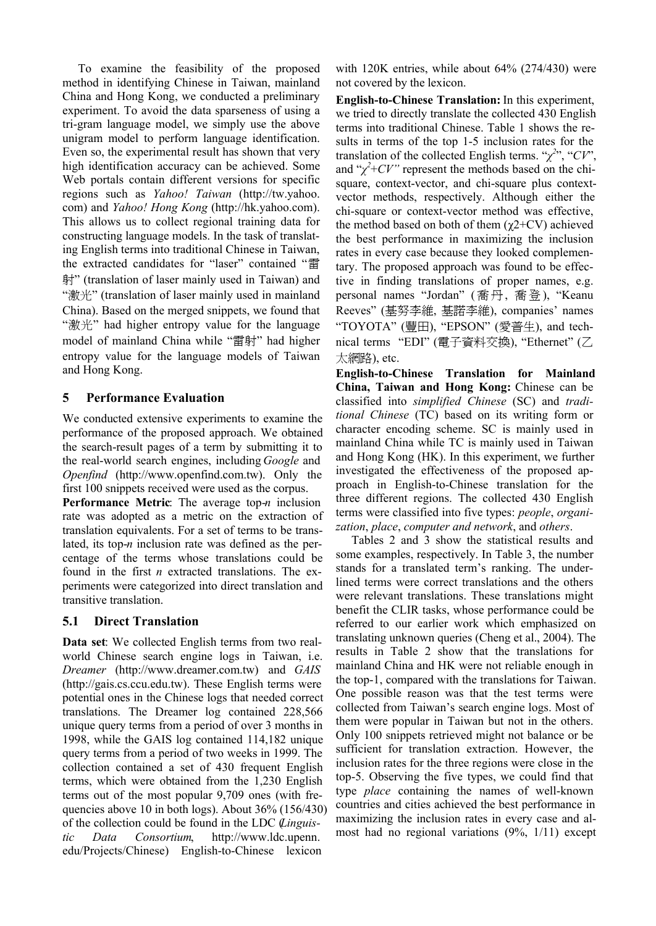To examine the feasibility of the proposed method in identifying Chinese in Taiwan, mainland China and Hong Kong, we conducted a preliminary experiment. To avoid the data sparseness of using a tri-gram language model, we simply use the above unigram model to perform language identification. Even so, the experimental result has shown that very high identification accuracy can be achieved. Some Web portals contain different versions for specific regions such as *Yahoo! Taiwan* (http://tw.yahoo. com) and *Yahoo! Hong Kong* (http://hk.yahoo.com). This allows us to collect regional training data for constructing language models. In the task of translating English terms into traditional Chinese in Taiwan, the extracted candidates for "laser" contained "雷 射" (translation of laser mainly used in Taiwan) and "激光" (translation of laser mainly used in mainland China). Based on the merged snippets, we found that "激光" had higher entropy value for the language model of mainland China while "雷射" had higher entropy value for the language models of Taiwan and Hong Kong.

## **5 Performance Evaluation**

We conducted extensive experiments to examine the performance of the proposed approach. We obtained the search-result pages of a term by submitting it to the real-world search engines, including *Google* and *Openfind* (http://www.openfind.com.tw). Only the first 100 snippets received were used as the corpus.

**Performance Metric**: The average top-*n* inclusion rate was adopted as a metric on the extraction of translation equivalents. For a set of terms to be translated, its top-*n* inclusion rate was defined as the percentage of the terms whose translations could be found in the first *n* extracted translations. The experiments were categorized into direct translation and transitive translation.

## **5.1 Direct Translation**

**Data set**: We collected English terms from two realworld Chinese search engine logs in Taiwan, i.e. *Dreamer* (http://www.dreamer.com.tw) and *GAIS* (http://gais.cs.ccu.edu.tw). These English terms were potential ones in the Chinese logs that needed correct translations. The Dreamer log contained 228,566 unique query terms from a period of over 3 months in 1998, while the GAIS log contained 114,182 unique query terms from a period of two weeks in 1999. The collection contained a set of 430 frequent English terms, which were obtained from the 1,230 English terms out of the most popular 9,709 ones (with frequencies above 10 in both logs). About 36% (156/430) of the collection could be found in the LDC (*Linguistic Data Consortium*, http://www.ldc.upenn. edu/Projects/Chinese) English-to-Chinese lexicon

with 120K entries, while about 64% (274/430) were not covered by the lexicon.

**English-to-Chinese Translation:** In this experiment, we tried to directly translate the collected 430 English terms into traditional Chinese. Table 1 shows the results in terms of the top 1-5 inclusion rates for the translation of the collected English terms. " $\chi^{2}$ ", " $CV$ ", and " $\chi^2$ +*CV*" represent the methods based on the chisquare, context-vector, and chi-square plus contextvector methods, respectively. Although either the chi-square or context-vector method was effective, the method based on both of them  $(\gamma 2+CV)$  achieved the best performance in maximizing the inclusion rates in every case because they looked complementary. The proposed approach was found to be effective in finding translations of proper names, e.g. personal names "Jordan" (喬丹, 喬登), "Keanu Reeves" (基努李維, 基諾李維), companies' names "TOYOTA" (豐田), "EPSON" (愛普生), and technical terms "EDI" (電子資料交換), "Ethernet" (乙 太網路), etc.

**English-to-Chinese Translation for Mainland China, Taiwan and Hong Kong:** Chinese can be classified into *simplified Chinese* (SC) and *traditional Chinese* (TC) based on its writing form or character encoding scheme. SC is mainly used in mainland China while TC is mainly used in Taiwan and Hong Kong (HK). In this experiment, we further investigated the effectiveness of the proposed approach in English-to-Chinese translation for the three different regions. The collected 430 English terms were classified into five types: *people*, *organization*, *place*, *computer and network*, and *others*.

Tables 2 and 3 show the statistical results and some examples, respectively. In Table 3, the number stands for a translated term's ranking. The underlined terms were correct translations and the others were relevant translations. These translations might benefit the CLIR tasks, whose performance could be referred to our earlier work which emphasized on translating unknown queries (Cheng et al., 2004). The results in Table 2 show that the translations for mainland China and HK were not reliable enough in the top-1, compared with the translations for Taiwan. One possible reason was that the test terms were collected from Taiwan's search engine logs. Most of them were popular in Taiwan but not in the others. Only 100 snippets retrieved might not balance or be sufficient for translation extraction. However, the inclusion rates for the three regions were close in the top-5. Observing the five types, we could find that type *place* containing the names of well-known countries and cities achieved the best performance in maximizing the inclusion rates in every case and almost had no regional variations (9%, 1/11) except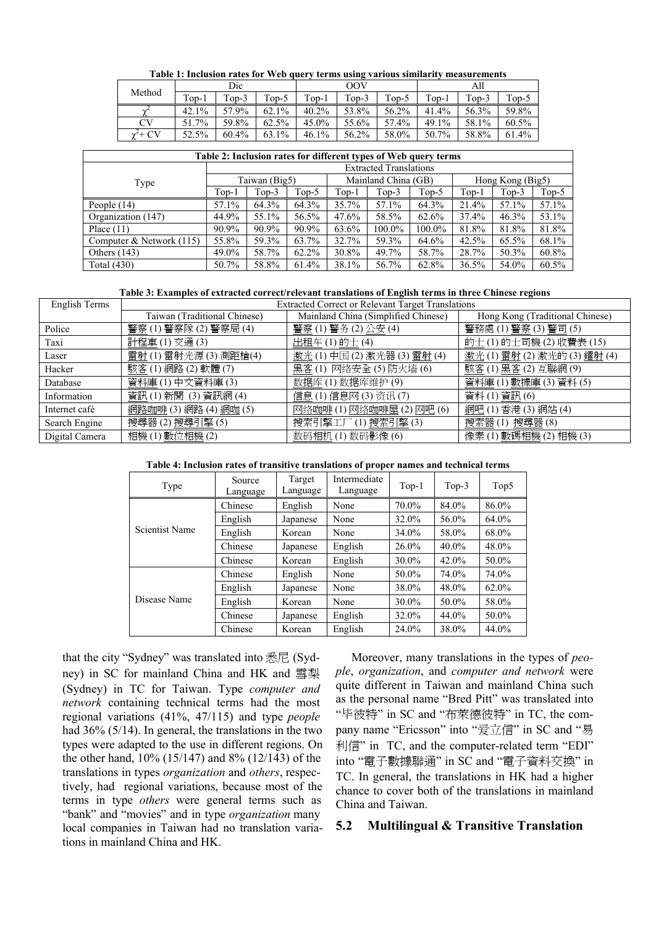| Method | Dic     |                      |         | OOV           |         |         | All     |               |         |       |
|--------|---------|----------------------|---------|---------------|---------|---------|---------|---------------|---------|-------|
|        | $Top-1$ | $\tau_{\text{OD-2}}$ | $Top-5$ | $T_{0p-1}$    | $Top-5$ | $Top-5$ | $Top-1$ | $Top-2$       | $Top-5$ |       |
|        |         | 42.1%                | 57.9%   | 62.1%         | 40.2%   | 53.8%   | 56.2%   | 41.4%         | 56.3%   | 59.8% |
|        | CV      | 51.7%                | 59.8%   | 62.5%         | 45.0%   | 55.6%   | 57.4%   | 49.1<br>$1\%$ | 58.1%   | 60.5% |
|        |         | 52.5%                | 60.4%   | $1\%$<br>63.1 | 46.1%   | 56.2%   | 58.0%   | 7%<br>50.7    | 58.8%   | 61.4% |

| Table 2: Inclusion rates for different types of Web query terms |                               |         |       |                     |           |         |                  |         |       |
|-----------------------------------------------------------------|-------------------------------|---------|-------|---------------------|-----------|---------|------------------|---------|-------|
|                                                                 | <b>Extracted Translations</b> |         |       |                     |           |         |                  |         |       |
| Type                                                            | Taiwan (Big5)                 |         |       | Mainland China (GB) |           |         | Hong Kong (Big5) |         |       |
|                                                                 | $Top-1$                       | $Top-3$ | Top-5 | $Top-1$             | $Top-3$   | $Top-5$ | $Top-1$          | $Top-3$ | Top-5 |
| People $(14)$                                                   | 57.1%                         | 64.3%   | 64.3% | 35.7%               | 57.1%     | 64.3%   | 21.4%            | 57.1%   | 57.1% |
| Organization (147)                                              | 44.9%                         | 55.1%   | 56.5% | 47.6%               | 58.5%     | 62.6%   | 37.4%            | 46.3%   | 53.1% |
| Place $(11)$                                                    | 90.9%                         | 90.9%   | 90.9% | 63.6%               | $100.0\%$ | 100.0%  | 81.8%            | 81.8%   | 81.8% |
| Computer & Network $(115)$                                      | 55.8%                         | 59.3%   | 63.7% | 32.7%               | 59.3%     | 64.6%   | 42.5%            | 65.5%   | 68.1% |
| Others $(143)$                                                  | 49.0%                         | 58.7%   | 62.2% | 30.8%               | 49.7%     | 58.7%   | 28.7%            | 50.3%   | 60.8% |
| Total $(430)$                                                   | 50.7%                         | 58.8%   | 61.4% | 38.1%               | 56.7%     | 62.8%   | 36.5%            | 54.0%   | 60.5% |

#### **Table 3: Examples of extracted correct/relevant translations of English terms in three Chinese regions**

| English Terms  | <b>Extracted Correct or Relevant Target Translations</b> |                                     |                                  |  |  |  |  |
|----------------|----------------------------------------------------------|-------------------------------------|----------------------------------|--|--|--|--|
|                | Taiwan (Traditional Chinese)                             | Mainland China (Simplified Chinese) | Hong Kong (Traditional Chinese)  |  |  |  |  |
| Police         | 警察(1) 警察隊(2) 警察局(4)                                      | 警察(1)警务(2)公安(4)                     | 警務處(1) 警察(3) 警司(5)               |  |  |  |  |
| Taxi           | 計程車(1)交通(3)                                              | 出租车(1)的土(4)                         | 的土(1)的士司機(2)收費表(15)              |  |  |  |  |
| Laser          | 置射(1) 雷射光源(3) 測距槍(4)                                     | 激光(1)中国(2)激光器(3)雷射(4)               | 激光(1) 雷射(2) 激光的(3) <u>鐳射</u> (4) |  |  |  |  |
| Hacker         | 駭客(1)網路(2)軟體(7)                                          | 黑客(1) 网络安全(5)防火墙(6)                 | 駭客(1) 黑客(2) 互聯網(9)               |  |  |  |  |
| Database       | 資料庫(1)中文資料庫(3)                                           | 数据库(1)数据库维护(9)                      | 資料庫(1) 數據庫(3) 資料(5)              |  |  |  |  |
| Information    | 資訊(1) 新聞 (3) 資訊網(4)                                      | 信息(1)信息网(3)资讯(7)                    | 資料(1) 資訊(6)                      |  |  |  |  |
| Internet café  | 網路咖啡 (3) 網路 (4) 網咖 (5)                                   | 网络咖啡(1) 网络咖啡屋(2) 网吧(6)              | 網吧 (1) 香港 (3) 網站 (4)             |  |  |  |  |
| Search Engine  | 搜尋器(2)搜尋引擎(5)                                            | 搜索引擎工厂(1)搜索引擎(3)                    | 搜索器(1) 搜尋器(8)                    |  |  |  |  |
| Digital Camera | 相機(1) 數位相機(2)                                            | 数码相机 (1) 数码影像 (6)                   | 像素(1) 數碼相機(2) 相機(3)              |  |  |  |  |

| Table 4: Inclusion rates of transitive translations of proper names and technical terms |  |
|-----------------------------------------------------------------------------------------|--|
|-----------------------------------------------------------------------------------------|--|

| Type           | Source<br>Language | Target<br>Language | Intermediate<br>Language | $Top-1$  | Top- $3$ | Top5  |
|----------------|--------------------|--------------------|--------------------------|----------|----------|-------|
|                | Chinese            | English<br>None    |                          | 70.0%    | 84.0%    | 86.0% |
|                | English            | Japanese           | None                     | 32.0%    | 56.0%    | 64.0% |
| Scientist Name | English            | Korean             | None                     | 34.0%    | 58.0%    | 68.0% |
|                | Chinese            | Japanese           | English                  | $26.0\%$ | $40.0\%$ | 48.0% |
|                | Chinese            | Korean             | English                  | 30.0%    | 42.0%    | 50.0% |
|                | Chinese            | English            | None                     | 50.0%    | 74.0%    | 74.0% |
|                | English            | Japanese           | None                     | 38.0%    | 48.0%    | 62.0% |
| Disease Name   | English            | Korean             | None                     | 30.0%    | 50.0%    | 58.0% |
|                | Chinese            | Japanese           | English                  | 32.0%    | 44.0%    | 50.0% |
|                | Chinese            | Korean             | English                  | 24.0%    | 38.0%    | 44.0% |

that the city "Sydney" was translated into 悉尼 (Sydney) in SC for mainland China and HK and 雪梨 (Sydney) in TC for Taiwan. Type *computer and network* containing technical terms had the most regional variations (41%, 47/115) and type *people* had 36% (5/14). In general, the translations in the two types were adapted to the use in different regions. On the other hand, 10% (15/147) and 8% (12/143) of the translations in types *organization* and *others*, respectively, had regional variations, because most of the terms in type *others* were general terms such as "bank" and "movies" and in type *organization* many local companies in Taiwan had no translation variations in mainland China and HK.

Moreover, many translations in the types of *people*, *organization*, and *computer and network* were quite different in Taiwan and mainland China such as the personal name "Bred Pitt" was translated into "毕彼特" in SC and "布萊德彼特" in TC, the company name "Ericsson" into "爱立信" in SC and "易 利信" in TC, and the computer-related term "EDI" into "電子數據聯通" in SC and "電子資料交換" in TC. In general, the translations in HK had a higher chance to cover both of the translations in mainland China and Taiwan.

#### **5.2 Multilingual & Transitive Translation**